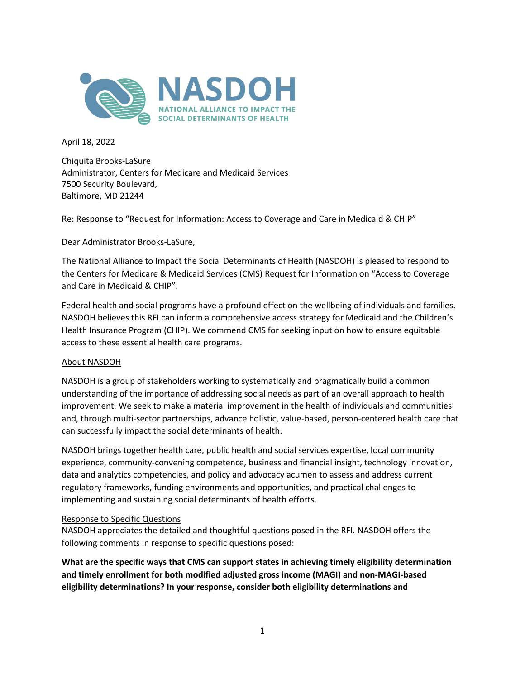

April 18, 2022

Chiquita Brooks-LaSure Administrator, Centers for Medicare and Medicaid Services 7500 Security Boulevard, Baltimore, MD 21244

Re: Response to "Request for Information: Access to Coverage and Care in Medicaid & CHIP"

Dear Administrator Brooks-LaSure,

The National Alliance to Impact the Social Determinants of Health (NASDOH) is pleased to respond to the Centers for Medicare & Medicaid Services (CMS) Request for Information on "Access to Coverage and Care in Medicaid & CHIP".

Federal health and social programs have a profound effect on the wellbeing of individuals and families. NASDOH believes this RFI can inform a comprehensive access strategy for Medicaid and the Children's Health Insurance Program (CHIP). We commend CMS for seeking input on how to ensure equitable access to these essential health care programs.

### About NASDOH

NASDOH is a group of stakeholders working to systematically and pragmatically build a common understanding of the importance of addressing social needs as part of an overall approach to health improvement. We seek to make a material improvement in the health of individuals and communities and, through multi-sector partnerships, advance holistic, value-based, person-centered health care that can successfully impact the social determinants of health.

NASDOH brings together health care, public health and social services expertise, local community experience, community-convening competence, business and financial insight, technology innovation, data and analytics competencies, and policy and advocacy acumen to assess and address current regulatory frameworks, funding environments and opportunities, and practical challenges to implementing and sustaining social determinants of health efforts.

### Response to Specific Questions

NASDOH appreciates the detailed and thoughtful questions posed in the RFI. NASDOH offers the following comments in response to specific questions posed:

**What are the specific ways that CMS can support states in achieving timely eligibility determination and timely enrollment for both modified adjusted gross income (MAGI) and non-MAGI-based eligibility determinations? In your response, consider both eligibility determinations and**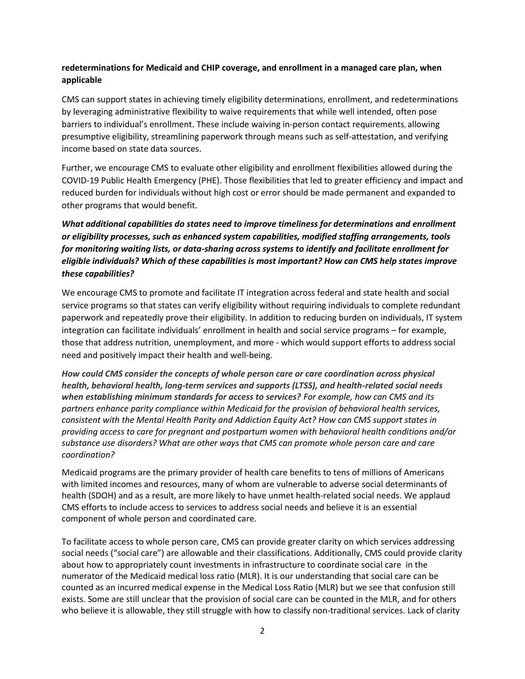## **redeterminations for Medicaid and CHIP coverage, and enrollment in a managed care plan, when applicable**

CMS can support states in achieving timely eligibility determinations, enrollment, and redeterminations by leveraging administrative flexibility to waive requirements that while well intended, often pose barriers to individual's enrollment. These include waiving in-person contact requirements, allowing presumptive eligibility, streamlining paperwork through means such as self-attestation, and verifying income based on state data sources.

Further, we encourage CMS to evaluate other eligibility and enrollment flexibilities allowed during the COVID-19 Public Health Emergency (PHE). Those flexibilities that led to greater efficiency and impact and reduced burden for individuals without high cost or error should be made permanent and expanded to other programs that would benefit.

# *What additional capabilities do states need to improve timeliness for determinations and enrollment or eligibility processes, such as enhanced system capabilities, modified staffing arrangements, tools for monitoring waiting lists, or data-sharing across systems to identify and facilitate enrollment for eligible individuals? Which of these capabilities is most important? How can CMS help states improve these capabilities?*

We encourage CMS to promote and facilitate IT integration across federal and state health and social service programs so that states can verify eligibility without requiring individuals to complete redundant paperwork and repeatedly prove their eligibility. In addition to reducing burden on individuals, IT system integration can facilitate individuals' enrollment in health and social service programs – for example, those that address nutrition, unemployment, and more - which would support efforts to address social need and positively impact their health and well-being.

How could CMS consider the concepts of whole person care or care coordination across physical *health, behavioral health, long-term services and supports (LTSS), and health-related social needs when establishing minimum standards for access to services? For example, how can CMS and its partners enhance parity compliance within Medicaid for the provision of behavioral health services, consistent with the Mental Health Parity and Addiction Equity Act? How can CMS support states in providing access to care for pregnant and postpartum women with behavioral health conditions and/or substance use disorders? What are other ways that CMS can promote whole person care and care coordination?*

Medicaid programs are the primary provider of health care benefits to tens of millions of Americans with limited incomes and resources, many of whom are vulnerable to adverse social determinants of health (SDOH) and as a result, are more likely to have unmet health-related social needs. We applaud CMS efforts to include access to services to address social needs and believe it is an essential component of whole person and coordinated care.

To facilitate access to whole person care, CMS can provide greater clarity on which services addressing social needs ("social care") are allowable and their classifications. Additionally, CMS could provide clarity about how to appropriately count investments in infrastructure to coordinate social care in the numerator of the Medicaid medical loss ratio (MLR). It is our understanding that social care can be counted as an incurred medical expense in the Medical Loss Ratio (MLR) but we see that confusion still exists. Some are still unclear that the provision of social care can be counted in the MLR, and for others who believe it is allowable, they still struggle with how to classify non-traditional services. Lack of clarity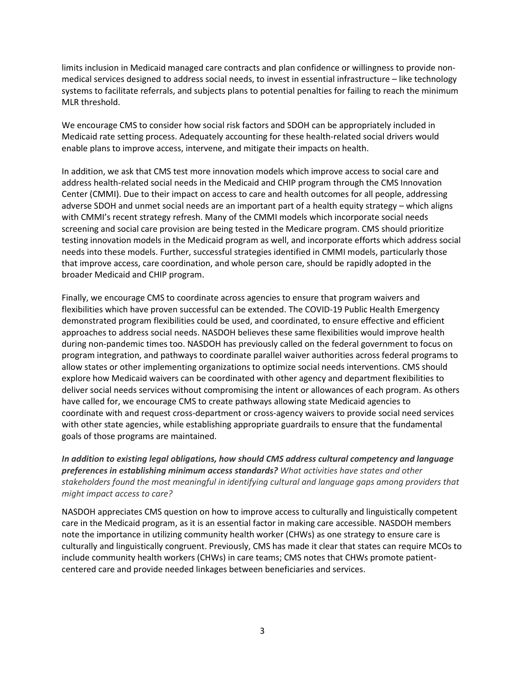limits inclusion in Medicaid managed care contracts and plan confidence or willingness to provide nonmedical services designed to address social needs, to invest in essential infrastructure – like technology systems to facilitate referrals, and subjects plans to potential penalties for failing to reach the minimum MLR threshold.

We encourage CMS to consider how social risk factors and SDOH can be appropriately included in Medicaid rate setting process. Adequately accounting for these health-related social drivers would enable plans to improve access, intervene, and mitigate their impacts on health.

In addition, we ask that CMS test more innovation models which improve access to social care and address health-related social needs in the Medicaid and CHIP program through the CMS Innovation Center (CMMI). Due to their impact on access to care and health outcomes for all people, addressing adverse SDOH and unmet social needs are an important part of a health equity strategy – which aligns with CMMI's recent strategy refresh. Many of the CMMI models which incorporate social needs screening and social care provision are being tested in the Medicare program. CMS should prioritize testing innovation models in the Medicaid program as well, and incorporate efforts which address social needs into these models. Further, successful strategies identified in CMMI models, particularly those that improve access, care coordination, and whole person care, should be rapidly adopted in the broader Medicaid and CHIP program.

Finally, we encourage CMS to coordinate across agencies to ensure that program waivers and flexibilities which have proven successful can be extended. The COVID-19 Public Health Emergency demonstrated program flexibilities could be used, and coordinated, to ensure effective and efficient approaches to address social needs. NASDOH believes these same flexibilities would improve health during non-pandemic times too. NASDOH has previously called on the federal government to focus on program integration, and pathways to coordinate parallel waiver authorities across federal programs to allow states or other implementing organizations to optimize social needs interventions. CMS should explore how Medicaid waivers can be coordinated with other agency and department flexibilities to deliver social needs services without compromising the intent or allowances of each program. As others have called for, we encourage CMS to create pathways allowing state Medicaid agencies to coordinate with and request cross-department or cross-agency waivers to provide social need services with other state agencies, while establishing appropriate guardrails to ensure that the fundamental goals of those programs are maintained.

*In addition to existing legal obligations, how should CMS address cultural competency and language preferences in establishing minimum access standards? What activities have states and other stakeholders found the most meaningful in identifying cultural and language gaps among providers that might impact access to care?*

NASDOH appreciates CMS question on how to improve access to culturally and linguistically competent care in the Medicaid program, as it is an essential factor in making care accessible. NASDOH members note the importance in utilizing community health worker (CHWs) as one strategy to ensure care is culturally and linguistically congruent. Previously, CMS has made it clear that states can require MCOs to include community health workers (CHWs) in care teams; CMS notes that CHWs promote patientcentered care and provide needed linkages between beneficiaries and services.